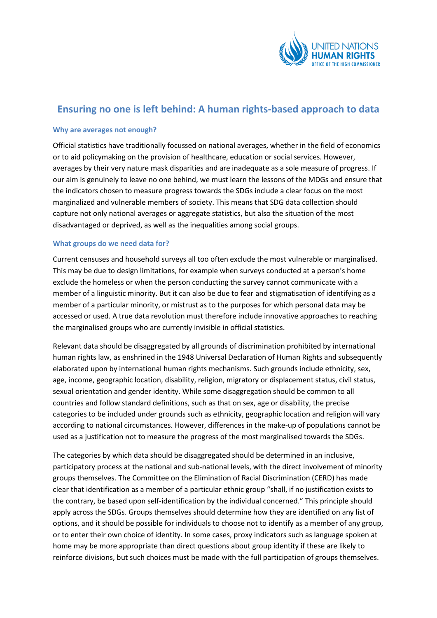

# **Ensuring no one is left behind: A human rights-based approach to data**

### **Why are averages not enough?**

Official statistics have traditionally focussed on national averages, whether in the field of economics or to aid policymaking on the provision of healthcare, education or social services. However, averages by their very nature mask disparities and are inadequate as a sole measure of progress. If our aim is genuinely to leave no one behind, we must learn the lessons of the MDGs and ensure that the indicators chosen to measure progress towards the SDGs include a clear focus on the most marginalized and vulnerable members of society. This means that SDG data collection should capture not only national averages or aggregate statistics, but also the situation of the most disadvantaged or deprived, as well as the inequalities among social groups.

## **What groups do we need data for?**

Current censuses and household surveys all too often exclude the most vulnerable or marginalised. This may be due to design limitations, for example when surveys conducted at a person's home exclude the homeless or when the person conducting the survey cannot communicate with a member of a linguistic minority. But it can also be due to fear and stigmatisation of identifying as a member of a particular minority, or mistrust as to the purposes for which personal data may be accessed or used. A true data revolution must therefore include innovative approaches to reaching the marginalised groups who are currently invisible in official statistics.

Relevant data should be disaggregated by all grounds of discrimination prohibited by international human rights law, as enshrined in the 1948 Universal Declaration of Human Rights and subsequently elaborated upon by international human rights mechanisms. Such grounds include ethnicity, sex, age, income, geographic location, disability, religion, migratory or displacement status, civil status, sexual orientation and gender identity. While some disaggregation should be common to all countries and follow standard definitions, such as that on sex, age or disability, the precise categories to be included under grounds such as ethnicity, geographic location and religion will vary according to national circumstances. However, differences in the make-up of populations cannot be used as a justification not to measure the progress of the most marginalised towards the SDGs.

The categories by which data should be disaggregated should be determined in an inclusive, participatory process at the national and sub-national levels, with the direct involvement of minority groups themselves. The Committee on the Elimination of Racial Discrimination (CERD) has made clear that identification as a member of a particular ethnic group "shall, if no justification exists to the contrary, be based upon self-identification by the individual concerned." This principle should apply across the SDGs. Groups themselves should determine how they are identified on any list of options, and it should be possible for individuals to choose not to identify as a member of any group, or to enter their own choice of identity. In some cases, proxy indicators such as language spoken at home may be more appropriate than direct questions about group identity if these are likely to reinforce divisions, but such choices must be made with the full participation of groups themselves.